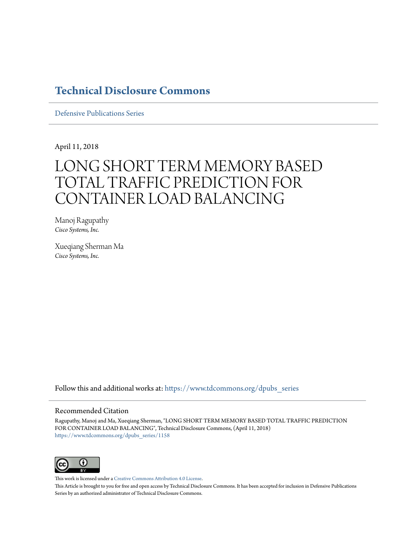# **[Technical Disclosure Commons](https://www.tdcommons.org?utm_source=www.tdcommons.org%2Fdpubs_series%2F1158&utm_medium=PDF&utm_campaign=PDFCoverPages)**

[Defensive Publications Series](https://www.tdcommons.org/dpubs_series?utm_source=www.tdcommons.org%2Fdpubs_series%2F1158&utm_medium=PDF&utm_campaign=PDFCoverPages)

April 11, 2018

# LONG SHORT TERM MEMORY BASED TOTAL TRAFFIC PREDICTION FOR CONTAINER LOAD BALANCING

Manoj Ragupathy *Cisco Systems, Inc.*

Xueqiang Sherman Ma *Cisco Systems, Inc.*

Follow this and additional works at: [https://www.tdcommons.org/dpubs\\_series](https://www.tdcommons.org/dpubs_series?utm_source=www.tdcommons.org%2Fdpubs_series%2F1158&utm_medium=PDF&utm_campaign=PDFCoverPages)

#### Recommended Citation

Ragupathy, Manoj and Ma, Xueqiang Sherman, "LONG SHORT TERM MEMORY BASED TOTAL TRAFFIC PREDICTION FOR CONTAINER LOAD BALANCING", Technical Disclosure Commons, (April 11, 2018) [https://www.tdcommons.org/dpubs\\_series/1158](https://www.tdcommons.org/dpubs_series/1158?utm_source=www.tdcommons.org%2Fdpubs_series%2F1158&utm_medium=PDF&utm_campaign=PDFCoverPages)



This work is licensed under a [Creative Commons Attribution 4.0 License.](http://creativecommons.org/licenses/by/4.0/deed.en_US)

This Article is brought to you for free and open access by Technical Disclosure Commons. It has been accepted for inclusion in Defensive Publications Series by an authorized administrator of Technical Disclosure Commons.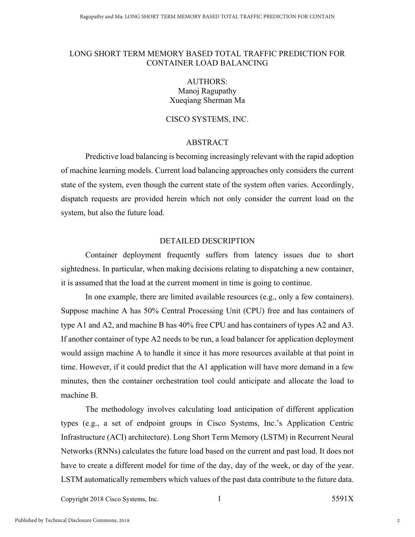#### LONG SHORT TERM MEMORY BASED TOTAL TRAFFIC PREDICTION FOR CONTAINER LOAD BALANCING

## AUTHORS: Manoj Ragupathy Xueqiang Sherman Ma

### CISCO SYSTEMS, INC.

#### ABSTRACT

Predictive load balancing is becoming increasingly relevant with the rapid adoption of machine learning models. Current load balancing approaches only considers the current state of the system, even though the current state of the system often varies. Accordingly, dispatch requests are provided herein which not only consider the current load on the system, but also the future load.

#### DETAILED DESCRIPTION

Container deployment frequently suffers from latency issues due to short sightedness. In particular, when making decisions relating to dispatching a new container, it is assumed that the load at the current moment in time is going to continue.

In one example, there are limited available resources (e.g., only a few containers). Suppose machine A has 50% Central Processing Unit (CPU) free and has containers of type A1 and A2, and machine B has 40% free CPU and has containers of types A2 and A3. If another container of type A2 needs to be run, a load balancer for application deployment would assign machine A to handle it since it has more resources available at that point in time. However, if it could predict that the A1 application will have more demand in a few minutes, then the container orchestration tool could anticipate and allocate the load to machine B.

The methodology involves calculating load anticipation of different application types (e.g., a set of endpoint groups in Cisco Systems, Inc.'s Application Centric Infrastructure (ACI) architecture). Long Short Term Memory (LSTM) in Recurrent Neural Networks (RNNs) calculates the future load based on the current and past load. It does not have to create a different model for time of the day, day of the week, or day of the year. LSTM automatically remembers which values of the past data contribute to the future data.

Copyright 2018 Cisco Systems, Inc.  $1$  5591X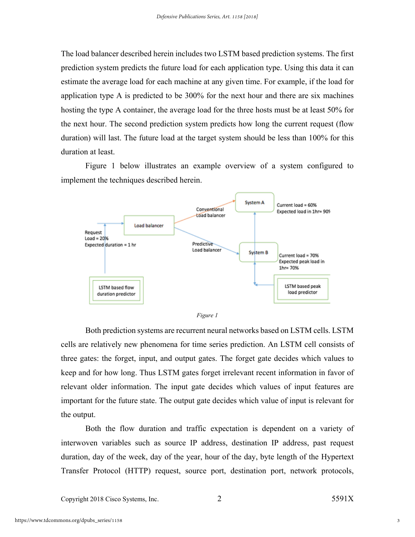The load balancer described herein includes two LSTM based prediction systems. The first prediction system predicts the future load for each application type. Using this data it can estimate the average load for each machine at any given time. For example, if the load for application type A is predicted to be 300% for the next hour and there are six machines hosting the type A container, the average load for the three hosts must be at least 50% for the next hour. The second prediction system predicts how long the current request (flow duration) will last. The future load at the target system should be less than 100% for this duration at least.

Figure 1 below illustrates an example overview of a system configured to implement the techniques described herein.





Both prediction systems are recurrent neural networks based on LSTM cells. LSTM cells are relatively new phenomena for time series prediction. An LSTM cell consists of three gates: the forget, input, and output gates. The forget gate decides which values to keep and for how long. Thus LSTM gates forget irrelevant recent information in favor of relevant older information. The input gate decides which values of input features are important for the future state. The output gate decides which value of input is relevant for the output.

Both the flow duration and traffic expectation is dependent on a variety of interwoven variables such as source IP address, destination IP address, past request duration, day of the week, day of the year, hour of the day, byte length of the Hypertext Transfer Protocol (HTTP) request, source port, destination port, network protocols,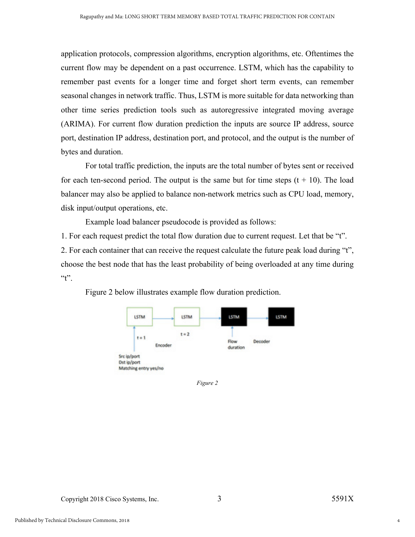application protocols, compression algorithms, encryption algorithms, etc. Oftentimes the current flow may be dependent on a past occurrence. LSTM, which has the capability to remember past events for a longer time and forget short term events, can remember seasonal changes in network traffic. Thus, LSTM is more suitable for data networking than other time series prediction tools such as autoregressive integrated moving average (ARIMA). For current flow duration prediction the inputs are source IP address, source port, destination IP address, destination port, and protocol, and the output is the number of bytes and duration.

For total traffic prediction, the inputs are the total number of bytes sent or received for each ten-second period. The output is the same but for time steps  $(t + 10)$ . The load balancer may also be applied to balance non-network metrics such as CPU load, memory, disk input/output operations, etc.

Example load balancer pseudocode is provided as follows:

1. For each request predict the total flow duration due to current request. Let that be "t". 2. For each container that can receive the request calculate the future peak load during "t", choose the best node that has the least probability of being overloaded at any time during  $\mathfrak{c}$  t".



Figure 2 below illustrates example flow duration prediction.

*Figure 2*